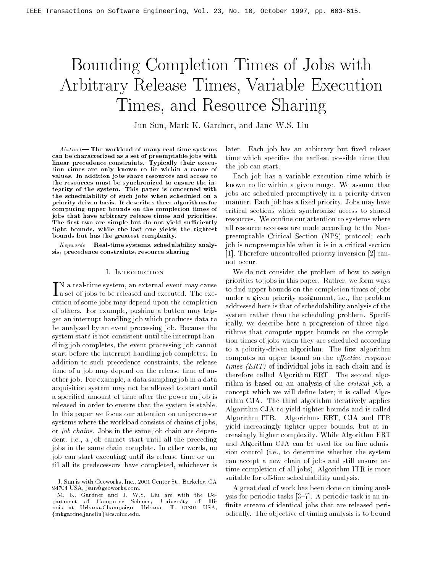# Bounding Completion Times of Jobs with Arbitrary Release Times, Variable Execution Times, and Resource Sharing

Jun Sun, Mark K. Gardner, and Jane W.S. Liu

 $Abstract-$  The workload of many real-time systems can be characterized as a set of preemptable jobs with linear precedence constraints. Typically their execution times are only known to lie within a range of values. In addition jobs share resources and access to the resources must be synchronized to ensure the integrity of the system. This paper is concerned with the schedulability of such jobs when scheduled on a priority-driven basis. It describes three algorithms for computing upper bounds on the completion times of jobs that have arbitrary release times and priorities. The first two are simple but do not yield sufficiently tight bounds, while the last one yields the tightest bounds but has the greatest complexity.

 $Keywords$ —Real-time systems, schedulability analysis, precedence constraints, resource sharing

#### I. Introduction

N a real-time system, an external event may cause a set of jobs to be released and executed and executed. cution of some jobs may depend upon the completion of others. For example, pushing a button may trigger an interrupt handling job which produces data to be analyzed by an event processing job. Because the system state is not consistent until the interrupt handling job completes, the event processing job cannot start before the interrupt handling job completes. In addition to such precedence constraints, the release time of a job may depend on the release time of another job. For example, a data sampling job in a data acquisition system may not be allowed to start until a specied amount of time after the power-on job is released in order to ensure that the system is stable. In this paper we focus our attention on uniprocessor systems where the workload consists of chains of jobs, or job chains. Jobs in the same job chain are dependent, i.e., a job cannot start until all the preceding jobs in the same chain complete. In other words, no job can start executing until its release time or until all its predecessors have completed, whichever is later. Each job has an arbitrary but fixed release time which specifies the earliest possible time that the job can start.

Each job has a variable execution time which is known to lie within a given range. We assume that jobs are scheduled preemptively in a priority-driven manner. Each job has a fixed priority. Jobs may have critical sections which synchronize access to shared resources. We confine our attention to systems where all resource accesses are made according to the Nonpreemptable Critical Section (NPS) protocol; each job is nonpreemptable when it is in a critical section [1]. Therefore uncontrolled priority inversion [2] cannot occur.

We do not consider the problem of how to assign priorities to jobs in this paper. Rather, we form ways to find upper bounds on the completion times of jobs under a given priority assignment, i.e., the problem addressed here is that of schedulability analysis of the system rather than the scheduling problem. Specifically, we describe here a progression of three algorithms that compute upper bounds on the completion times of jobs when they are scheduled according to a priority-driven algorithm. The first algorithm computes an upper bound on the  $effective$   $response$  $times (ERT)$  of individual jobs in each chain and is therefore called Algorithm ERT. The second algorithm is based on an analysis of the *critical job*, a concept which we will define later; it is called Algorithm CJA. The third algorithm iteratively applies Algorithm CJA to yield tighter bounds and is called Algorithm ITR. Algorithms ERT, CJA and ITR yield increasingly tighter upper bounds, but at increasingly higher complexity. While Algorithm ERT and Algorithm CJA can be used for on-line admission control (i.e., to determine whether the system can accept a new chain of jobs and still ensure ontime completion of all jobs), Algorithm ITR is more suitable for off-line schedulability analysis.

A great deal of work has been done on timing analysis for periodic tasks  $[3-7]$ . A periodic task is an infinite stream of identical jobs that are released periodically. The objective of timing analysis is to bound

J. Sun is with Geoworks, Inc., 2001 Center St., Berkeley, CA 94704 USA, jsun@geoworks.com.

M. K. Gardner and J. W.S. Liu are with the Department of Computer Science, University of Illinois at Urbana-Champaign, Urbana, IL 61801 USA, {mkgardne,janeliu}@cs.uiuc.edu.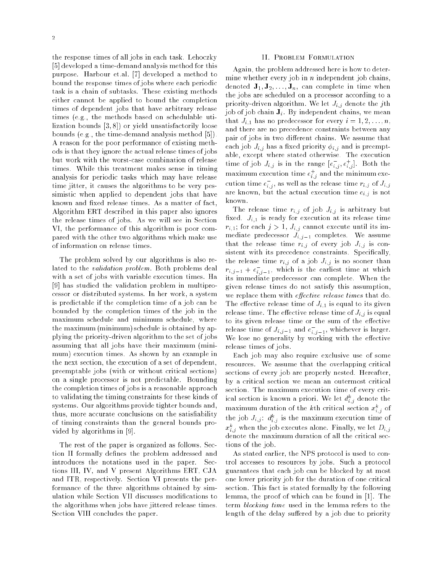the response times of all jobs in each task. Lehoczky [5] developed a time-demand analysis method for this purpose. Harbour et.al. [7] developed a method to bound the response times of jobs where each periodic task is a chain of subtasks. These existing methods either cannot be applied to bound the completion times of dependent jobs that have arbitrary release times (e.g., the methods based on schedulable utilization bounds [3, 8]) or yield unsatisfactorily loose bounds (e.g., the time-demand analysis method [5]). A reason for the poor performance of existing methods is that they ignore the actual release times of jobs but work with the worst-case combination of release times. While this treatment makes sense in timing analysis for periodic tasks which may have release time jitter, it causes the algorithms to be very pessimistic when applied to dependent jobs that have known and fixed release times. As a matter of fact, Algorithm ERT described in this paper also ignores the release times of jobs. As we will see in Section VI, the performance of this algorithm is poor compared with the other two algorithms which make use of information on release times.

The problem solved by our algorithms is also related to the validation problem. Both problems deal with a set of jobs with variable execution times. Ha [9] has studied the validation problem in multiprocessor or distributed systems. In her work, a system is predictable if the completion time of a job can be bounded by the completion times of the job in the maximum schedule and minimum schedule, where the maximum (minimum) schedule is obtained by applying the priority-driven algorithm to the set of jobs assuming that all jobs have their maximum (minimum) execution times. As shown by an example in the next section, the execution of a set of dependent, preemptable jobs (with or without critical sections) on a single processor is not predictable. Bounding the completion times of jobs is a reasonable approach to validating the timing constraints for these kinds of systems. Our algorithms provide tighter bounds and, thus, more accurate conclusions on the satisfiability of timing constraints than the general bounds provided by algorithms in [9].

The rest of the paper is organized as follows. Section II formally defines the problem addressed and introduces the notations used in the paper. Sections III, IV, and V present Algorithms ERT, CJA and ITR, respectively. Section VI presents the performance of the three algorithms obtained by simulation while Section VII discusses modications to the algorithms when jobs have jittered release times. Section VIII concludes the paper.

#### II. Problem Formulation

Again, the problem addressed here is how to determine whether every job in  $n$  independent job chains. denoted  $\mathbf{J}_1, \mathbf{J}_2, \ldots, \mathbf{J}_n$ , can complete in time when the jobs are scheduled on a processor according to a priority-driven algorithm. We let  $J_{i,j}$  denote the jth job of job chain  $J_i$ . By independent chains, we mean that  $J_{i,1}$  has no predecessor for every  $i = 1, 2, \ldots, n$ , and there are no precedence constraints between any pair of jobs in two different chains. We assume that each job  $J_{i,j}$  has a fixed priority  $\phi_{i,j}$  and is preemptable, except where stated otherwise. The execution time of job  $J_{i,j}$  is in the range  $[e_{i,j},e_{i,j}]$ . Both the maximum execution time  $e_{i,j}^{\perp}$  and the minimum execution time  $e_{i,j},$  as well as the release time  $r_{i,j}$  of  ${\overline J}_{i,j}$ are known, but the actual execution time  $e_{i,j}$  is not known.

The release time  $r_{i,j}$  of job  $J_{i,j}$  is arbitrary but fixed.  $J_{i,1}$  is ready for execution at its release time  $r_{i,1}$ ; for each  $j > 1$ ,  $J_{i,j}$  cannot execute until its immediate predecessor  $J_{i,j-1}$  completes. We assume that the release time  $r_{i,j}$  of every job  $J_{i,j}$  is consistent with its precedence constraints. Specifically, the release time  $r_{i,j}$  of a job  $J_{i,j}$  is no sooner than  $r_{i,j-1} + e_{i,j-1}$ , which is the earliest time at which its immediate predecessor can complete. When the given release times do not satisfy this assumption, we replace them with *effective release times* that do. The effective release time of  $J_{i,1}$  is equal to its given release time. The effective release time of  $J_{i,j}$  is equal to its given release time or the sum of the effective release time of  $J_{i,j-1}$  and  $e_{i,j-1}$ , whichever is larger. We lose no generality by working with the effective release times of jobs.

Each job may also require exclusive use of some resources. We assume that the overlapping critical sections of every job are properly nested. Hereafter, by a critical section we mean an outermost critical section. The maximum execution time of every critical section is known a priori. We let  $a_{i,j}^\vee$  denote the maximum duration of the  $\kappa$ th critical section  $x_{i,j}^{\circ}$  of the job  $J_{i,j}\colon\thinspace a_{i,j}^{\ldots}$  is the maximum execution time of  $x_{i,j}^{\perp}$  when the job executes alone. Finally, we let  $D_{i,j}$ denote the maximum duration of all the critical sections of the job.

As stated earlier, the NPS protocol is used to control accesses to resources by jobs. Such a protocol guarantees that each job can be blocked by at most one lower priority job for the duration of one critical section. This fact is stated formally by the following lemma, the proof of which can be found in [1]. The term blocking time used in the lemma refers to the length of the delay suffered by a job due to priority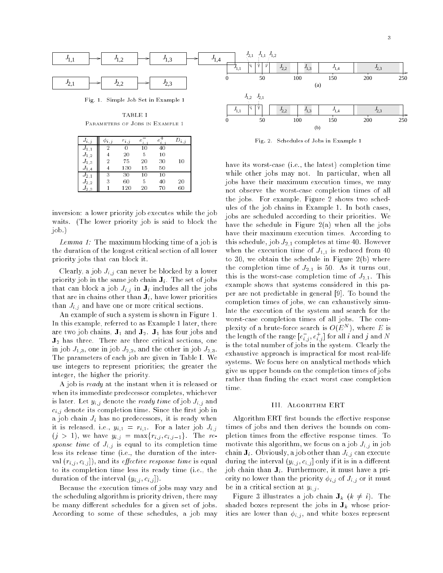

Fig. 2. Schedules of Jobs in Example 1

have its worst-case (i.e., the latest) completion time while other jobs may not. In particular, when all jobs have their maximum execution times, we may not observe the worst-case completion times of all the jobs. For example, Figure 2 shows two schedules of the job chains in Example 1. In both cases, jobs are scheduled according to their priorities. We have the schedule in Figure 2(a) when all the jobs have their maximum execution times. According to this schedule, job  $J_{2,1}$  completes at time 40. However when the execution time of  $J_{1,1}$  is reduced from 40 to 30, we obtain the schedule in Figure 2(b) where the completion time of  $J_{2,1}$  is 50. As it turns out, this is the worst-case completion time of  $J_{2,1}$ . This example shows that systems considered in this paper are not predictable in general [9]. To bound the completion times of jobs, we can exhaustively simulate the execution of the system and search for the worst-case completion times of all jobs. The complexity of a prute-force search is  $O(E^+)$ , where  $E$  is the length of the range  $[e_{i}]_{j},e_{i}]$  for all  $i$  and  $j$  and  $N$ is the total number of jobs in the system. Clearly the exhaustive approach is impractical for most real-life systems. We focus here on analytical methods which give us upper bounds on the completion times of jobs rather than finding the exact worst case completion time.

# III. Algorithm ERT

Algorithm ERT first bounds the effective response times of jobs and then derives the bounds on completion times from the effective response times. To motivate this algorithm, we focus on a job  $J_{i,j}$  in job chain  $\mathbf{J}_i$ . Obviously, a job other than  $J_{i,j}$  can execute during the interval  $(y_{i,j}, c_{i,j}]$  only if it is in a different job chain than  $J_i$ . Furthermore, it must have a priority no lower than the priority  $\phi_{i,j}$  of  $J_{i,j}$  or it must be in a critical section at  $y_{i,j}$ .

Figure 3 illustrates a job chain  $\mathbf{J}_k$   $(k\,\neq\, i)$ . The shaded boxes represent the jobs in  $J_k$  whose priorities are lower than  $\phi_{i,j}$ , and white boxes represent

| $J_{i,j}$            | $\varphi_{i,j}$ | $r_{i,j}$ |    |    |    |
|----------------------|-----------------|-----------|----|----|----|
|                      | 2               |           | 10 | 40 |    |
| $\cdot$ 2            |                 | 20        | 5  | 10 |    |
| $\cdot$ <sup>3</sup> | $\overline{2}$  | 75        | 20 | 30 | 10 |
| 4                    |                 | 130       | 15 | 50 |    |
| J2 1                 | 3               | 30        | 10 | 10 |    |
| J2.2                 | 3               | 60        | 5  | 40 | 20 |
|                      |                 | 120       | 20 | 70 | 60 |

inversion: a lower priority job executes while the job waits. (The lower priority job is said to block the job.)

 $Lemma 1:$  The maximum blocking time of a job is the duration of the longest critical section of all lower priority jobs that can block it.

Clearly, a job  $J_{i,j}$  can never be blocked by a lower priority job in the same job chain  $J_i$ . The set of jobs that can block a job  $J_{i,j}$  in  $J_i$  includes all the jobs that are in chains other than  $J_i$ , have lower priorities than  $J_{i,j}$  and have one or more critical sections.

An example of such a system is shown in Figure 1. In this example, referred to as Example 1 later, there are two job chains,  $J_1$  and  $J_2$ .  $J_1$  has four jobs and  $J_2$  has three. There are three critical sections, one in job  $J_{1,3}$ , one in job  $J_{2,2}$ , and the other in job  $J_{2,3}$ . The parameters of each job are given in Table I. We use integers to represent priorities; the greater the integer, the higher the priority.

A job is ready at the instant when it is released or when its immediate predecessor completes, whichever is later. Let  $y_{i,j}$  denote the *ready time* of job  $J_{i,j}$  and  $c_{i,j}$  denote its completion time. Since the first job in a job chain  $J_i$  has no predecessors, it is ready when it is released, i.e.,  $y_{i,1} = r_{i,1}$ . For a later job  $J_{i,j}$  $(j > 1)$ , we have  $y_{i,j} = \max\{r_{i,j}, c_{i,j-1}\}$ . The response time of  $J_{i,j}$  is equal to its completion time less its release time (i.e., the duration of the interval  $(r_{i,j}, c_{i,j}]$ , and its *effective response time* is equal to its completion time less its ready time (i.e., the duration of the interval  $(y_{i,j}, c_{i,j}]$ .

Because the execution times of jobs may vary and the scheduling algorithm is priority driven, there may be many different schedules for a given set of jobs. According to some of these schedules, a job may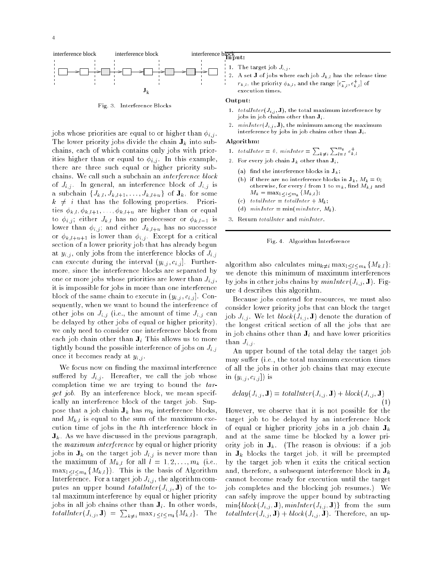

Fig. 3. Interference Blocks

jobs whose priorities are equal to or higher than  $\phi_{i,j}$ . The lower priority jobs divide the chain  $J_k$  into subchains, each of which contains only jobs with priorities higher than or equal to  $\phi_{i,j}$ . In this example, there are three such equal or higher priority subchains. We call such a subchain an interference block of  $J_{i,j}$ . In general, an interference block of  $J_{i,j}$  is a subchain  $\{J_{k,i}, J_{k,i+1}, \ldots, J_{k,i+u}\}$  of  $J_k$ , for some  $k \neq i$  that has the following properties. Priorities  $\phi_{k,l}, \phi_{k,l+1}, \ldots, \phi_{k,l+u}$  are higher than or equal to  $\phi_{i,j}$ ; either  $J_{k,l}$  has no predecessor or  $\phi_{k,l-1}$  is lower than  $\phi_{i,j}$ ; and either  $J_{k,l+u}$  has no successor or  $\phi_{k,l+u+1}$  is lower than  $\phi_{i,j}$ . Except for a critical section of a lower priority job that has already begun at  $y_{i,j}$ , only jobs from the interference blocks of  $J_{i,j}$ can execute during the interval  $(y_{i,j}, c_{i,j}]$ . Furthermore, since the interference blocks are separated by one or more jobs whose priorities are lower than  $J_{i,j}$ , it is impossible for jobs in more than one interference block of the same chain to execute in  $(y_{i,j}, c_{i,j}]$ . Consequently, when we want to bound the interference of other jobs on  $J_{i,j}$  (i.e., the amount of time  $J_{i,j}$  can be delayed by other jobs of equal or higher priority), we only need to consider one interference block from each job chain other than  $J_i$  This allows us to more tightly bound the possible interference of jobs on  $J_{i,j}$ once it becomes ready at  $y_{i,j}$ .

We focus now on finding the maximal interference suffered by  $J_{i,j}$ . Hereafter, we call the job whose completion time we are trying to bound the  $tar$ get job. By an interference block, we mean specifically an interference block of the target job. Suppose that a job chain  $J_k$  has  $m_k$  interference blocks, and  $M_{k,l}$  is equal to the sum of the maximum execution time of jobs in the lth interference block in  $J_k$ . As we have discussed in the previous paragraph, the maximum interference by equal or higher priority jobs in  $J_k$  on the target job  $J_{i,j}$  is never more than the maximum of  $M_{k,l}$  for all  $l = 1, 2, \ldots, m_k$  (i.e.,  $\max_{1 \leq l \leq m_k} \{M_{k,l}\}\)$ . This is the basis of Algorithm Interference. For a target job  $J_{i,j}$ , the algorithm computes an upper bound totalInter  $(J_{i,j},\mathbf{J})$  of the total maximum interference by equal or higher priority jobs in all job chains other than  $J_i$ . In other words,  $totalInter(J_{i,j}, \mathbf{J}) = \sum_{k \neq i} \max_{1 \leq l \leq m_k} \{M_{k,l}\}.$  The

- 1. The target job  $J_{i,j}$ .
- 2. A set **J** of jobs where each job  $J_{k,l}$  has the release time  $r_{k,l},$  the priority  $\phi_{k,l},$  and the range  $[e_{k,l},e_{k,l}]$  of execution times.

 $O$ utput: Output:

- 1. totalInter( $J_{i,j}$ , J), the total maximum interference by jobs in job chains other than  $J_i$ .
- 2.  $minInter(J_{i,j}, J)$ , the minimum among the maximum interference by jobs in job chains other than  $J_i$ .

#### Algorithm:

- 1. totalInter = 0, minInter =  $\sum_{k\neq i}\sum_{i=1}^{m_k} e_{k,l}^{\dagger}$
- 2. For every job chain  $J_k$  other than  $J_i$ ,
	- (a) find the interference blocks in  $J_k$ ;
	- (b) if there are no interference blocks in  $J_k$ ,  $M_k = 0$ ; otherwise, for every l from 1 to  $m_k$ , find  $M_{k,l}$  and  $M_k = \max\nolimits_{1\leq l\leq m_k} \{M_{k,l}\};$

 $\cdots$  .

- (c) totalInter = totalInter +  $M_k$ ;
- (d)  $minInter = min(minInter, M_k)$ .
- 3. Return totalInter and minInter .



algorithm also calculates  $\min_{k\neq i} \max_{1\leq l\leq m_k} \{M_{k,l}\};$ we denote this minimum of maximum interferences by jobs in other jobs chains by  $minInter(J_{i,j}, \mathbf{J})$ . Figure 4 describes this algorithm.

Because jobs contend for resources, we must also consider lower priority jobs that can block the target job  $J_{i,j}$ . We let  $block(J_{i,j}, \mathbf{J})$  denote the duration of the longest critical section of all the jobs that are in job chains other than  $J_i$  and have lower priorities than  $J_{i,j}$ .

An upper bound of the total delay the target job may suffer (i.e., the total maximum execution times of all the jobs in other job chains that may execute in  $(y_{i,j}, c_{i,j}]$  is

$$
delay(J_{i,j},\mathbf{J}) = totalInter(J_{i,j},\mathbf{J}) + block(J_{i,j},\mathbf{J})
$$
\n(1)

However, we observe that it is not possible for the target job to be delayed by an interference block of equal or higher priority jobs in a job chain  $J_k$ and at the same time be blocked by a lower priority job in  $J_k$ . (The reason is obvious: if a job in  $J_k$  blocks the target job, it will be preempted by the target job when it exits the critical section and, therefore, a subsequent interference block in  $\mathbf{J}_k$ cannot become ready for execution until the target job completes and the blocking job resumes.) We can safely improve the upper bound by subtracting  $\min\{block(J_{i,j},\mathbf{J}),\,minInter(J_{i,j},\mathbf{J})\}$  from the sum  $totalInter(J_{i,j},\mathbf{J}) + block(J_{i,j},\mathbf{J})$ . Therefore, an up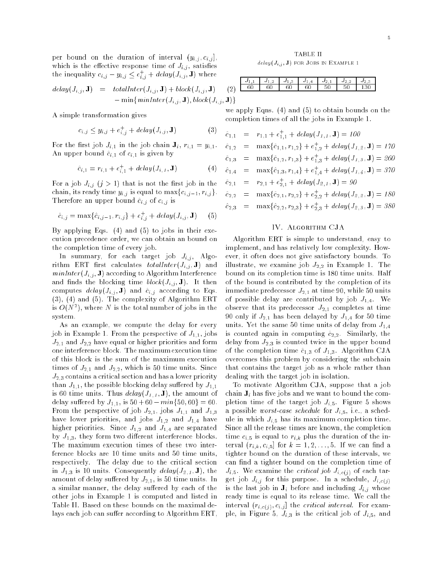per bound on the duration of interval  $(y_{i,j}, c_{i,j}]$ , which is the effective response time of  $J_{i,j}$ , satisfies the inequality  $c_{i,j} - y_{i,j} \leq e_{i,j} + \textit{delay}(J_{i,j}, \mathbf{J})$  where

$$
delay(J_{i,j}, \mathbf{J}) = totalInter(J_{i,j}, \mathbf{J}) + block(J_{i,j}, \mathbf{J})
$$
  
- min{minInter(J\_{i,j}, \mathbf{J}), block(J\_{i,j}, \mathbf{J})} (2)

A simple transformation gives

$$
c_{i,j} \le y_{i,j} + e_{i,j}^+ + delay(J_{i,j}, \mathbf{J}) \tag{3}
$$

For the first job  $J_{i,1}$  in the job chain  $J_i$ ,  $r_{i,1} = y_{i,1}$ . An upper bound  $\hat{c}_{i,1}$  of  $c_{i,1}$  is given by

$$
\hat{e}_{i,1} = r_{i,1} + e_{i,1}^+ + delay(J_{i,1}, \mathbf{J}) \tag{4}
$$

For a job  $J_{i,j}$   $(j > 1)$  that is not the first job in the chain, its ready time  $y_{i,j}$  is equal to  $\max\{c_{i,j-1}, r_{i,j}\}.$ Therefore an upper bound  $\hat{c}_{i,j}$  of  $c_{i,j}$  is

$$
\hat{c}_{i,j} = \max\{\hat{c}_{i,j-1}, r_{i,j}\} + e_{i,j}^+ + delay(J_{i,j}, \mathbf{J}) \qquad (5)
$$

By applying Eqs. (4) and (5) to jobs in their execution precedence order, we can obtain an bound on the completion time of every job.

In summary, for each target job  $J_{i,j}$ , Algorithm ERT first calculates  $totalInter(J_{i,j}, J)$  and  $minInter(J_{i,j}, \mathbf{J})$  according to Algorithm Interference and finds the blocking time  $block(J_{i,j},\mathbf{J})$ . It then computes  $delay(J_{i,j},\mathbf{J})$  and  $\hat{c}_{i,j}$  according to Eqs. (3), (4) and (5). The complexity of Algorithm ERT is O(IVT), where IV is the total number of jobs in the system.

As an example, we compute the delay for every job in Example 1. From the perspective of  $J_{1,1}$ , jobs  $J_{2,1}$  and  $J_{2,2}$  have equal or higher priorities and form one interference block. The maximum execution time of this block is the sum of the maximum execution times of  $J_{2,1}$  and  $J_{2,2}$ , which is 50 time units. Since  $J_{2,3}$  contains a critical section and has a lower priority than  $J_{1,1}$ , the possible blocking delay suffered by  $J_{1,1}$ is 60 time units. Thus  $delay(J_{1,1}, \mathbf{J})$ , the amount of delay suffered by  $J_{1,1}$ , is  $50 + 60 - min\{50, 60\} = 60$ . From the perspective of job  $J_{2,1}$ , jobs  $J_{1,1}$  and  $J_{1,3}$ have lower priorities, and jobs  $J_{1,2}$  and  $J_{1,4}$  have higher priorities. Since  $J_{1,2}$  and  $J_{1,4}$  are separated by  $J_{1,3}$ , they form two different interference blocks. The maximum execution times of these two interference blocks are 10 time units and 50 time units, respectively. The delay due to the critical section in  $J_{1,3}$  is 10 units. Consequently delay  $(J_{2,1},\mathbf{J})$ , the amount of delay suffered by  $J_{2,1}$ , is 50 time units. In a similar manner, the delay suffered by each of the other jobs in Example 1 is computed and listed in Table II. Based on these bounds on the maximal delays each job can suffer according to Algorithm ERT,

**TABLE II**  $delay (J_{i,j}, J)$  for Jobs in Example 1

|     |    |    |    |     | $J_{1,1}$   $J_{1,2}$   $J_{1,3}$   $J_{1,4}$   $J_{2,1}$   $J_{2,2}$   $J_2$ |             |  |
|-----|----|----|----|-----|-------------------------------------------------------------------------------|-------------|--|
| (2) | 60 | 60 | 60 | -60 |                                                                               | 50   50   1 |  |
|     |    |    |    |     |                                                                               |             |  |

we apply Eqns. (4) and (5) to obtain bounds on the completion times of all the jobs in Example 1.

$$
\begin{array}{rcl}\n\hat{c}_{1,1} & = & r_{1,1} + e_{1,1}^+ + delay(J_{1,1}, \mathbf{J}) = 100 \\
\hat{c}_{1,2} & = & \max\{\hat{c}_{1,1}, r_{1,2}\} + e_{1,2}^+ + delay(J_{1,2}, \mathbf{J}) = 170 \\
\hat{c}_{1,3} & = & \max\{\hat{c}_{1,2}, r_{1,3}\} + e_{1,3}^+ + delay(J_{1,3}, \mathbf{J}) = 260 \\
\hat{c}_{1,4} & = & \max\{\hat{c}_{1,3}, r_{1,4}\} + e_{1,4}^+ + delay(J_{1,4}, \mathbf{J}) = 370 \\
\hat{c}_{2,1} & = & r_{2,1} + e_{2,1}^+ + delay(J_{2,1}, \mathbf{J}) = 90 \\
\hat{c}_{2,2} & = & \max\{\hat{c}_{2,1}, r_{2,2}\} + e_{2,2}^+ + delay(J_{2,2}, \mathbf{J}) = 180 \\
\hat{c}_{2,3} & = & \max\{\hat{c}_{2,2}, r_{2,3}\} + e_{2,3}^+ + delay(J_{2,3}, \mathbf{J}) = 380\n\end{array}
$$

# IV. ALGORITHM CJA

Algorithm ERT is simple to understand, easy to implement, and has relatively low complexity. However, it often does not give satisfactory bounds. To illustrate, we examine job  $J_{2,2}$  in Example 1. The bound on its completion time is 180 time units. Half of the bound is contributed by the completion of its immediate predecessor  $J_{2,1}$  at time 90, while 50 units of possible delay are contributed by job  $J_{1,4}$ . We observe that its predecessor  $J_{2,1}$  completes at time 90 only if  $J_{2,1}$  has been delayed by  $J_{1,4}$  for 50 time units. Yet the same 50 time units of delay from  $J_{1,4}$ is counted again in computing  $\hat{c}_{2,2}$ . Similarly, the delay from  $J_{2,3}$  is counted twice in the upper bound of the completion time  $\hat{c}_{1,3}$  of  $J_{1,3}$ . Algorithm CJA overcomes this problem by considering the subchain that contains the target job as a whole rather than dealing with the target job in isolation.

To motivate Algorithm CJA, suppose that a job chain  $J_i$  has five jobs and we want to bound the completion time of the target job  $J_{i,5}$ . Figure 5 shows a possible *worst-case schedule* for  $J_{i,5}$ , i.e., a schedule in which  $J_{i,5}$  has its maximum completion time. Since all the release times are known, the completion time  $c_{i,5}$  is equal to  $r_{i,k}$  plus the duration of the interval  $(r_{i,k}, c_{i,5}]$  for  $k = 1, 2, ..., 5$ . If we can find a tighter bound on the duration of these intervals, we can find a tighter bound on the completion time of  $J_{i,5}$ . We examine the *critical job*  $J_{i,c(j)}$  of each target job  $J_{i,j}$  for this purpose. In a schedule,  $J_{i,c(j)}$ is the last job in  $J_i$  before and including  $J_{i,j}$  whose ready time is equal to its release time. We call the interval  $(r_{i,c(j)}, c_{i,j}]$  the *critical interval*. For example, in Figure 5,  $J_{i,3}$  is the critical job of  $J_{i,5}$ , and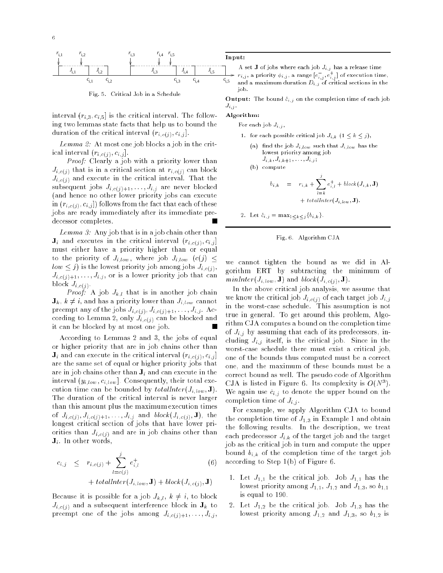

Fig. 5. Critical Job in a Schedule

interval  $(r_{i,3}, c_{i,5}]$  is the critical interval. The following two lemmas state facts that help us to bound the duration of the critical interval  $(r_{i,c(j)}, c_{i,j}]$ .

Lemma 2: At most one job blocks a job in the critical interval  $(r_{i,c}(j), c_{i,j}]$ .

Proof: Clearly a job with a priority lower than  $J_{i,c(j)}$  that is in a critical section at  $r_{i,c(j)}$  can block  $J_{i,c(j)}$  and execute in the critical interval. That the subsequent jobs  $J_{i,c(j)+1}, \ldots, J_{i,j}$  are never blocked (and hence no other lower priority jobs can execute in  $(r_{i,c(j)}, c_{i,j})$  follows from the fact that each of these jobs are ready immediately after its immediate predecessor completes.

Lemma 3: Any job that is in a job chain other than  $J_i$  and executes in the critical interval  $(r_{i,c(j)}, c_{i,j}]$ must either have a priority higher than or equal to the priority of  $J_{i,low}$ , where job  $J_{i,low}$   $(c(j) \leq$  $low \leq j$ ) is the lowest priority job among jobs  $J_{i,c(j)},$  $J_{i,c(j)+1}, \ldots, J_{i,j}$ , or is a lower priority job that can block  $J_{i,c}(i)$ .

*Proof:* A job  $J_{k,l}$  that is in another job chain  $\mathbf{J}_k, k \neq i$ , and has a priority lower than  $J_{i,low}$  cannot preempt any of the jobs  $J_{i,c(j)}, J_{i,c(j)+1}, \ldots, J_{i,j}$ . According to Lemma 2, only  $J_{i, c(j)}$  can be blocked and it can be blocked by at most one job.

According to Lemmas 2 and 3, the jobs of equal or higher priority that are in job chains other than  $J_i$  and can execute in the critical interval  $(r_{i,c(i)}, c_{i,j}]$ are the same set of equal or higher priority jobs that are in job chains other than  $J_i$  and can execute in the interval  $(y_{i,low}, c_{i,low}]$ . Consequently, their total execution time can be bounded by  $totalInter(J_{i,low}, \mathbf{J})$ . The duration of the critical interval is never larger than this amount plus the maximum execution times of  $J_{i,c(j)}, J_{i,c(j)+1}, \ldots, J_{i,j}$  and  $block(J_{i,c(j)}, \mathbf{J})$ , the longest critical section of jobs that have lower priorities than  $J_{i, e(j)}$  and are in job chains other than  $J_i$ . In other words,

$$
c_{i,j} \leq r_{i,c(j)} + \sum_{l=c(j)}^{j} e_{i,l}^{+}
$$
  
+ 
$$
totalInter(J_{i,low}, \mathbf{J}) + block(J_{i,c(j)}, \mathbf{J})
$$
 (6)

Because it is possible for a job  $J_{k,l}, k \neq i$ , to block  $J_{i, c(j)}$  and a subsequent interference block in  $J_k$  to preempt one of the jobs among  $J_{i,c(j)+1}, \ldots, J_{i,j}$ ,

# Input:

A set **J** of jobs where each job  $J_{i,j}$  has a release time  $r_{i,j}$ , a priority  $\phi_{i,j}$ , a range  $[e_{i,j},e_{i,j}]$  of execution time, and a maximum duration  $D_{i,j}$  of critical sections in the

job. **Output:** The bound  $\hat{c}_{i,j}$  on the completion time of each job  $J_{i,j}$  .

#### Algorithm:

For each job  $J_{i,j}$ ,

- 1. for each possible critical job  $J_{i,k}$   $(1 \leq k \leq j),$ 
	- (a) find the job  $J_{i,low}$  such that  $J_{i,low}$  has the lowest priority among job  $J_{i,k}, J_{i,k+1}, \ldots, J_{i,j};$

(b) compute

$$
b_{i,k} = r_{i,k} + \sum_{l=k}^{j} e_{i,l}^{+} + block (J_{i,k}, \mathbf{J})
$$
  
+ 
$$
totalInter(J_{i,low}, \mathbf{J}).
$$

2. Let  $\hat{c}_{i,j} = \max_{1 \leq k \leq j} \{b_{i,k}\}.$ 

Fig. 6. Algorithm CJA

we cannot tighten the bound as we did in Algorithm ERT by subtracting the minimum of  $minInter(J_{i,low}, \mathbf{J})$  and  $block(J_{i,c(j)}, \mathbf{J})$ .

In the above critical job analysis, we assume that we know the critical job  $J_{i,c(j)}$  of each target job  $J_{i,j}$ in the worst-case schedule. This assumption is not true in general. To get around this problem, Algorithm CJA computes a bound on the completion time of  $J_{i,j}$  by assuming that each of its predecessors, including  $J_{i,j}$  itself, is the critical job. Since in the worst-case schedule there must exist a critical job, one of the bounds thus computed must be a correct one, and the maximum of these bounds must be a correct bound as well. The pseudo code of Algorithm CJA is listed in Figure 0. Its complexity is  $O(N^{\gamma})$ . We again use  $\hat{c}_{i,j}$  to denote the upper bound on the completion time of  $J_{i,j}$ .

For example, we apply Algorithm CJA to bound the completion time of  $J_{1,3}$  in Example 1 and obtain the following results. In the description, we treat each predecessor  $J_{i,k}$  of the target job and the target job as the critical job in turn and compute the upper bound  $b_{i,k}$  of the completion time of the target job according to Step 1(b) of Figure 6.

- 1. Let  $J_{1,1}$  be the critical job. Job  $J_{1,1}$  has the lowest priority among  $J_{1,1}$ ,  $J_{1,2}$  and  $J_{1,3}$ , so  $b_{1,1}$ is equal to 190.
- 2. Let  $J_{1,2}$  be the critical job. Job  $J_{1,3}$  has the lowest priority among  $J_{1,2}$  and  $J_{1,3}$ , so  $b_{1,2}$  is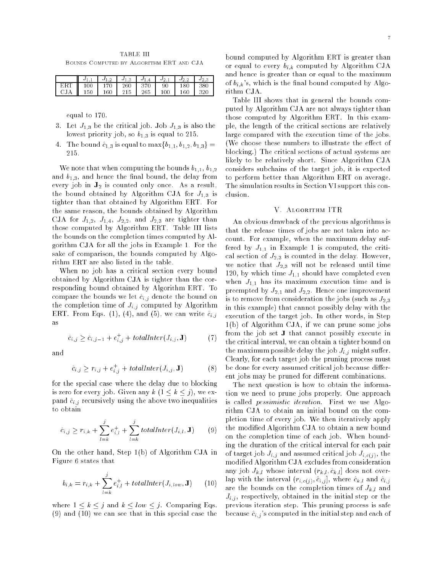**TABLE III** Bounds Computed by Algorithm ERT and CJA

|       |     | $J_{1,2}$ | $J_{1,3}$ | $J_{14}$ | $J_{2,1}$ | コっっ |     |
|-------|-----|-----------|-----------|----------|-----------|-----|-----|
| ERT   | 100 | 170       | 260       | -370     | 90        | 180 | 380 |
| l CJA | 150 | 160       | 215       | 265      | 100       | 160 | 320 |

equal to 170.

- 3. Let  $J_{1,3}$  be the critical job. Job  $J_{1,3}$  is also the lowest priority job, so  $b_{1,3}$  is equal to 215.
- 4. The bound  $\hat{c}_{1,3}$  is equal to max $\{b_{1,1}, b_{1,2}, b_{1,3}\} =$ 215.

We note that when computing the bounds  $b_{1,1}$ ,  $b_{1,2}$ and  $b_{1,3}$ , and hence the final bound, the delay from every job in  $J_2$  is counted only once. As a result, the bound obtained by Algorithm CJA for  $J_{1,3}$  is tighter than that obtained by Algorithm ERT. For the same reason, the bounds obtained by Algorithm CJA for  $J_{1,2}$ ,  $J_{1,4}$ ,  $J_{2,2}$ , and  $J_{2,3}$  are tighter than those computed by Algorithm ERT. Table III lists the bounds on the completion times computed by Algorithm CJA for all the jobs in Example 1. For the sake of comparison, the bounds computed by Algorithm ERT are also listed in the table.

When no job has a critical section every bound obtained by Algorithm CJA is tighter than the corresponding bound obtained by Algorithm ERT. To compare the bounds we let  $\hat{c}_{i,j}$  denote the bound on the completion time of  $J_{i,j}$  computed by Algorithm ERT. From Eqs. (1), (4), and (5), we can write  $\hat{c}_{i,j}$ as

$$
\hat{c}_{i,j} \ge \hat{c}_{i,j-1} + e_{i,j}^+ + totalInter(J_{i,j}, \mathbf{J}) \tag{7}
$$

and

$$
\hat{e}_{i,j} \ge r_{i,j} + e_{i,j}^+ + totalInter(J_{i,j}, \mathbf{J})
$$
\n(8)

for the special case where the delay due to blocking is zero for every job. Given any  $k$   $(1 \leq k \leq j)$ , we expand  $\hat{c}_{i,j}$  recursively using the above two inequalities to obtain

$$
\hat{c}_{i,j} \ge r_{i,k} + \sum_{l=k}^{j} e_{i,l}^+ + \sum_{l=k}^{j} totalInter(J_{i,l}, \mathbf{J}) \qquad (9)
$$

On the other hand, Step 1(b) of Algorithm CJA in Figure 6 states that

$$
b_{i,k} = r_{i,k} + \sum_{l=k}^{j} e_{i,l}^{+} + totalInter(J_{i,low}, \mathbf{J})
$$
 (10)

where  $1 \leq k \leq j$  and  $k \leq low \leq j$ . Comparing Eqs. (9) and (10) we can see that in this special case the

bound computed by Algorithm ERT is greater than or equal to every  $b_{i,k}$  computed by Algorithm CJA and hence is greater than or equal to the maximum of  $b_{i,k}$ 's, which is the final bound computed by Algorithm CJA.

Table III shows that in general the bounds computed by Algorithm CJA are not always tighter than those computed by Algorithm ERT. In this example, the length of the critical sections are relatively large compared with the execution time of the jobs. (We choose these numbers to illustrate the effect of blocking.) The critical sections of actual systems are likely to be relatively short. Since Algorithm CJA considers subchains of the target job, it is expected to perform better than Algorithm ERT on average. The simulation results in Section VI support this conclusion.

# V. Algorithm ITR

An obvious drawback of the previous algorithms is that the release times of jobs are not taken into account. For example, when the maximum delay suffered by  $J_{1,1}$  in Example 1 is computed, the critical section of  $J_{2,3}$  is counted in the delay. However, we notice that  $J_{2,3}$  will not be released until time 120, by which time  $J_{1,1}$  should have completed even when  $J_{1,1}$  has its maximum execution time and is preempted by  $J_{2,1}$  and  $J_{2,2}$ . Hence one improvement is to remove from consideration the jobs (such as  $J_{2,3}$ ) in this example) that cannot possibly delay with the execution of the target job. In other words, in Step 1(b) of Algorithm CJA, if we can prune some jobs from the job set <sup>J</sup> that cannot possibly execute in the critical interval, we can obtain a tighter bound on the maximum possible delay the job  $J_{i,j}$  might suffer. Clearly, for each target job the pruning process must be done for every assumed critical job because different jobs may be pruned for different combinations.

The next question is how to obtain the information we need to prune jobs properly. One approach is called pessimistic iteration. First we use Algorithm CJA to obtain an initial bound on the completion time of every job. We then iteratively apply the modied Algorithm CJA to obtain a new bound on the completion time of each job. When bounding the duration of the critical interval for each pair of target job  $J_{i,j}$  and assumed critical job  $J_{i,c(j)}$ , the modied Algorithm CJA excludes from consideration any job  $J_{k,l}$  whose interval  $(r_{k,l}, \hat{c}_{k,l}]$  does not overlap with the interval  $(r_{i, e(j)}, \hat{e}_{i,j}]$ , where  $\hat{e}_{k,l}$  and  $\hat{e}_{i,j}$ are the bounds on the completion times of  $J_{k,l}$  and  $J_{i,j}$ , respectively, obtained in the initial step or the previous iteration step. This pruning process is safe because  $\hat{c}_{i,j}$ 's computed in the initial step and each of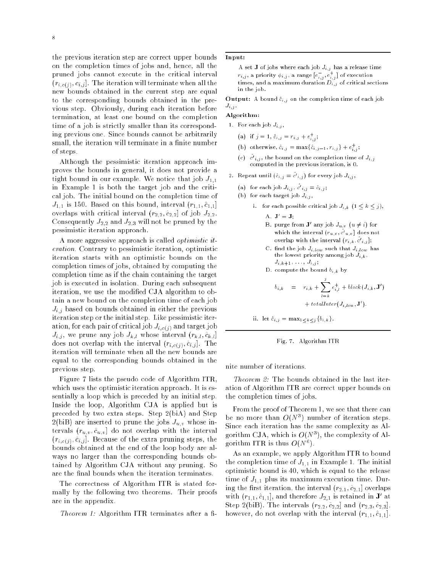the previous iteration step are correct upper bounds on the completion times of jobs and, hence, all the pruned jobs cannot execute in the critical interval  $(r_{i,c(j)}, c_{i,j}]$ . The iteration will terminate when all the new bounds obtained in the current step are equal to the corresponding bounds obtained in the previous step. Obviously, during each iteration before termination, at least one bound on the completion time of a job is strictly smaller than its corresponding previous one. Since bounds cannot be arbitrarily small, the iteration will terminate in a finite number of steps.

Although the pessimistic iteration approach improves the bounds in general, it does not provide a tight bound in our example. We notice that job  $J_{1,1}$ in Example 1 is both the target job and the critical job. The initial bound on the completion time of  $J_{1,1}$  is 150. Based on this bound, interval  $(r_{1,1}, \hat{c}_{1,1}]$ overlaps with critical interval  $(r_{2,2}, \hat{c}_{2,2})$  of job  $J_{2,2}$ . Consequently  $J_{2,2}$  and  $J_{2,3}$  will not be pruned by the pessimistic iteration approach.

A more aggressive approach is called optimistic iteration. Contrary to pessimistic iteration, optimistic iteration starts with an optimistic bounds on the completion times of jobs, obtained by computing the completion time as if the chain containing the target job is executed in isolation. During each subsequent iteration, we use the modified CJA algorithm to obtain a new bound on the completion time of each job  $J_{i,j}$  based on bounds obtained in either the previous iteration step or the initial step. Like pessimistic iteration, for each pair of critical job  $J_{i,c(j)}$  and target job  $J_{i,j}$ , we prune any job  $J_{k,l}$  whose interval  $(r_{k,l}, \hat{c}_{k,l}]$ does not overlap with the interval  $(r_{i,c(j)}, \hat{c}_{i,j}]$ . The iteration will terminate when all the new bounds are equal to the corresponding bounds obtained in the previous step.

Figure 7 lists the pseudo code of Algorithm ITR, which uses the optimistic iteration approach. It is essentially a loop which is preceded by an initial step. Inside the loop, Algorithm CJA is applied but is preceded by two extra steps. Step 2(biA) and Step  $2(biB)$  are inserted to prune the jobs  $J_{u,v}$  whose intervals  $(r_{u,v}, \hat{c}_{u,v})$  do not overlap with the interval  $(r_{i,c(j)}, \hat{c}_{i,j}]$ . Because of the extra pruning steps, the bounds obtained at the end of the loop body are always no larger than the corresponding bounds obtained by Algorithm CJA without any pruning. So are the final bounds when the iteration terminates.

The correctness of Algorithm ITR is stated formally by the following two theorems. Their proofs are in the appendix.

Theorem 1: Algorithm ITR terminates after a fi-

#### Input:

A set **J** of jobs where each job  $J_{i,j}$  has a release time  $r_{i,j},$  a priority  $\phi_{i,j},$  a range  $[e_{i,j},e_{i,j}]$  of execution times, and a maximum duration  $D_{i,j}$  of critical sections in the job.

**Output:** A bound  $\hat{c}_{i,j}$  on the completion time of each job  $J_{i,j}$  .

# Algorithm:

1. For each job  $J_{i,j}$ ,

(a) if 
$$
j = 1
$$
,  $\hat{c}_{i,j} = r_{i,j} + e_{i,j}^+$ ;

- (b) otherwise,  $c_{i,j} = \max\{c_{i,j-1}, r_{i,j}\} + e_{i,j}$
- (c)  $c_{i,j}$ , the bound on the completion time of  $J_{i,j}$ computed in the previous iteration, is 0.
- 2. Repeat until  $(c_{i,j} = c_{i,j})$  for every job  $J_{i,j}$ ,
	- (a) for each job  $J_{i,j}$ ,  $c_{i,j} = c_{i,j}$ ;
	- (b) for each target job  $J_{i,j}$ ,
		- i. for each possible critical job  $J_{i,k}$   $(1 \leq k \leq j),$ 
			- A.  $\mathbf{J}' = \mathbf{J}$ ; B. purge from **J** any job  $J_{u,v}$  ( $u \neq i$ ) for which the interval  $(r_{u,v}, c_{u,v}]$  does not
			- overlap with the interval  $(r_{i,k}, c_{i,j})$ ; C. find the job  $J_{i,low}$  such that  $J_{i,low}$  has the lowest priority among job  $J_{i,k}$ ,  $J_{i,k+1}, \ldots, J_{i,j};$

D. compute the bound 
$$
b_{i,k}
$$
 by

$$
b_{i,k} = r_{i,k} + \sum_{l=k}^{j} e_{i,l}^{+} + block (J_{i,k}, \mathbf{J}') + totalInter (J_{i,low}, \mathbf{J}').
$$

ii. let 
$$
\hat{c}_{i,j} = \max_{1 \leq k \leq j} \{b_{i,k}\}.
$$



nite number of iterations.

Theorem 2: The bounds obtained in the last iteration of Algorithm ITR are correct upper bounds on the completion times of jobs.

From the proof of Theorem 1, we see that there can be no more than  $O(N^*)$  number of iteration steps. Since each iteration has the same complexity as Algorithm  $\cup$  A , which is  $O\left(N^{-}\right)$  , the complexity of Algorithm II  $\kappa$  is thus  $O(N^*)$ .

As an example, we apply Algorithm ITR to bound the completion time of  $J_{1,1}$  in Example 1. The initial optimistic bound is 40, which is equal to the release time of  $J_{1,1}$  plus its maximum execution time. During the first iteration, the interval  $(r_{2,1}, \hat{c}_{2,1}]$  overlaps with  $(r_{1,1}, c_{1,1})$ , and therefore  $J_{2,1}$  is retained in J at Step 2(biB). The intervals  $(r_{2,2}, \hat{c}_{2,2}]$  and  $(r_{2,3}, \hat{c}_{2,3}]$ however, do not overlap with the interval  $(r_{1,1}, \hat{c}_{1,1}]$ .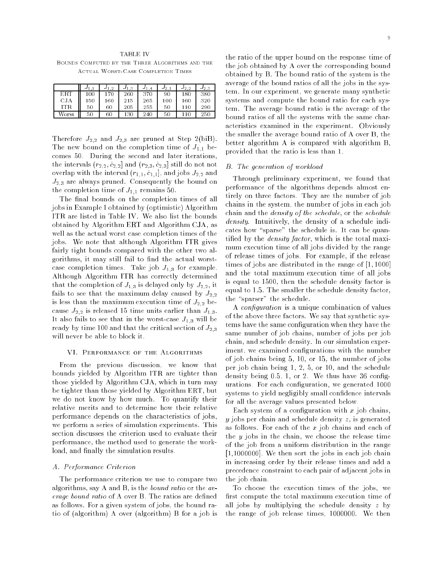#### **TABLE IV**

Bounds Computed by the Three Algorithms and the Actual Worst-Case Completion Times

|            |     | $J_{1,2}$ | $J_{1,3}$ | $J_{1.4}$ | $J_{2,1}$ | $J_{2,2}$ | $J_{2,3}$ |
|------------|-----|-----------|-----------|-----------|-----------|-----------|-----------|
| ERT        | 100 | 170       | 260       | 370       | 90        | 180       | 380       |
| CJA        | 150 | 160       | 215       | 265       | 100       | 160       | 320       |
| <b>ITR</b> | 50  | 60        | 205       | 255       | 50        | 110       | 290       |
| Worst      | 50  | 60        | 130       | 240       | 50        | $_{110}$  | 250       |

Therefore  $J_{2,2}$  and  $J_{2,3}$  are pruned at Step 2(biB). The new bound on the completion time of  $J_{1,1}$  becomes 50. During the second and later iterations, the intervals  $(r_{2,2}, \hat{c}_{2,2}]$  and  $(r_{2,3}, \hat{c}_{2,3}]$  still do not not overlap with the interval  $(r_{1,1}, \hat{c}_{1,1}],$  and jobs  $J_{2,2}$  and  $J_{2,3}$  are always pruned. Consequently the bound on the completion time of  $J_{1,1}$  remains 50.

The final bounds on the completion times of all jobs in Example 1 obtained by (optimistic) Algorithm ITR are listed in Table IV. We also list the bounds obtained by Algorithm ERT and Algorithm CJA, as well as the actual worst case completion times of the jobs. We note that although Algorithm ITR gives fairly tight bounds compared with the other two algorithms, it may still fail to find the actual worstcase completion times. Take job  $J_{1,3}$  for example. Although Algorithm ITR has correctly determined that the completion of  $J_{1,3}$  is delayed only by  $J_{2,2}$ , it fails to see that the maximum delay caused by  $J_{2,2}$ is less than the maximum execution time of  $J_{2,2}$  because  $J_{2,2}$  is released 15 time units earlier than  $J_{1,3}$ . It also fails to see that in the worst-case  $J_{1,3}$  will be ready by time 100 and that the critical section of  $J_{2,3}$ will never be able to block it.

# VI. Performance of the Algorithms

From the previous discussion, we know that bounds yielded by Algorithm ITR are tighter than those yielded by Algorithm CJA, which in turn may be tighter than those yielded by Algorithm ERT, but we do not know by how much. To quantify their relative merits and to determine how their relative performance depends on the characteristics of jobs, we perform a series of simulation experiments. This section discusses the criterion used to evaluate their performance, the method used to generate the workload, and finally the simulation results.

# A. Performance Criterion

The performance criterion we use to compare two algorithms, say A and B, is the bound ratio or the average bound ratio of A over B. The ratios are defined as follows. For a given system of jobs, the bound ratio of (algorithm) A over (algorithm) B for a job is the ratio of the upper bound on the response time of the job obtained by A over the corresponding bound obtained by B. The bound ratio of the system is the average of the bound ratios of all the jobs in the system. In our experiment, we generate many synthetic systems and compute the bound ratio for each system. The average bound ratio is the average of the bound ratios of all the systems with the same characteristics examined in the experiment. Obviously the smaller the average bound ratio of A over B, the better algorithm A is compared with algorithm B, provided that the ratio is less than 1.

# B. The generation of workload

Through preliminary experiment, we found that performance of the algorithms depends almost entirely on three factors. They are the number of job chains in the system, the number of jobs in each job chain and the density of the schedule, or the schedule density. Intuitively, the density of a schedule indicates how "sparse" the schedule is. It can be quantified by the *density factor*, which is the total maximum execution time of all jobs divided by the range of release times of jobs. For example, if the release times of jobs are distributed in the range of [1, 1000] and the total maximum execution time of all jobs is equal to 1500, then the schedule density factor is equal to 1.5. The smaller the schedule density factor, the "sparser" the schedule.

A *configuration* is a unique combination of values of the above three factors. We say that synthetic systems have the same configuration when they have the same number of job chains, number of jobs per job chain, and schedule density. In our simulation experiment, we examined configurations with the number of job chains being 5, 10, or 15, the number of jobs per job chain being 1, 2, 5, or 10, and the schedule density being  $0.5, 1$ , or 2. We thus have 36 configurations. For each conguration, we generated 1000 systems to yield negligibly small condence intervals for all the average values presented below.

Each system of a configuration with  $x$  job chains.  $y$  jobs per chain and schedule density z, is generated as follows. For each of the  $x$  job chains and each of the  $y$  jobs in the chain, we choose the release time of the job from a uniform distribution in the range [1,1000000]. We then sort the jobs in each job chain in increasing order by their release times and add a precedence constraint to each pair of adjacent jobs in the job chain.

To choose the execution times of the jobs, we first compute the total maximum execution time of all jobs by multiplying the schedule density  $z$  by the range of job release times, 1000000. We then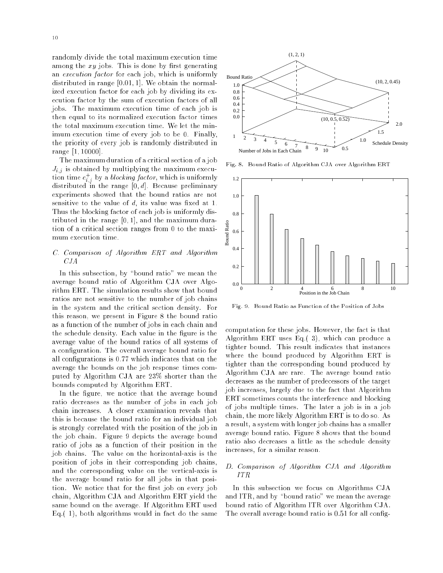randomly divide the total maximum execution time among the  $xy$  jobs. This is done by first generating an execution factor for each job, which is uniformly distributed in range [0:01; 1]. We obtain the normalized execution factor for each job by dividing its execution factor by the sum of execution factors of all jobs. The maximum execution time of each job is then equal to its normalized execution factor times the total maximum execution time. We let the minimum execution time of every job to be 0. Finally, the priority of every job is randomly distributed in range [1; 10000].

The maximum duration of a critical section of a job  $J_{i,j}$  is obtained by multiplying the maximum execution time  $e_{i,j}^+$  by a *blocking factor*, which is uniformly distributed in the range  $[0, d]$ . Because preliminary experiments showed that the bound ratios are not sensitive to the value of  $d$ , its value was fixed at 1. Thus the blocking factor of each job is uniformly distributed in the range  $[0, 1]$ , and the maximum duration of a critical section ranges from 0 to the maximum execution time.

# C. Comparison of Algorithm ERT and Algorithm CJA

In this subsection, by "bound ratio" we mean the average bound ratio of Algorithm CJA over Algorithm ERT. The simulation results show that bound ratios are not sensitive to the number of job chains in the system and the critical section density. For this reason, we present in Figure 8 the bound ratio as a function of the number of jobs in each chain and the schedule density. Each value in the figure is the average value of the bound ratios of all systems of a conguration. The overall average bound ratio for all congurations is 0.77 which indicates that on the average the bounds on the job response times computed by Algorithm CJA are 23% shorter than the bounds computed by Algorithm ERT.

In the figure, we notice that the average bound ratio decreases as the number of jobs in each job chain increases. A closer examination reveals that this is because the bound ratio for an individual job is strongly correlated with the position of the job in the job chain. Figure 9 depicts the average bound ratio of jobs as a function of their position in the job chains. The value on the horizontal-axis is the position of jobs in their corresponding job chains, and the corresponding value on the vertical-axis is the average bound ratio for all jobs in that position. We notice that for the first job on every job chain, Algorithm CJA and Algorithm ERT yield the same bound on the average. If Algorithm ERT used Eq.( 1), both algorithms would in fact do the same



Fig. 8. Bound Ratio of Algorithm CJA over Algorithm ERT



Fig. 9. Bound Ratio as Function of the Position of Jobs

computation for these jobs. However, the fact is that Algorithm ERT uses Eq.( 3), which can produce a tighter bound. This result indicates that instances where the bound produced by Algorithm ERT is tighter than the corresponding bound produced by Algorithm CJA are rare. The average bound ratio decreases as the number of predecessors of the target job increases, largely due to the fact that Algorithm ERT sometimes counts the interference and blocking of jobs multiple times. The later a job is in a job chain, the more likely Algorithm ERT is to do so. As a result, a system with longer job chains has a smaller average bound ratio. Figure 8 shows that the bound ratio also decreases a little as the schedule density increases, for a similar reason.

# D. Comparison of Algorithm CJA and Algorithm ITR

In this subsection we focus on Algorithms CJA and ITR, and by "bound ratio" we mean the average bound ratio of Algorithm ITR over Algorithm CJA. The overall average bound ratio is 0.51 for all config-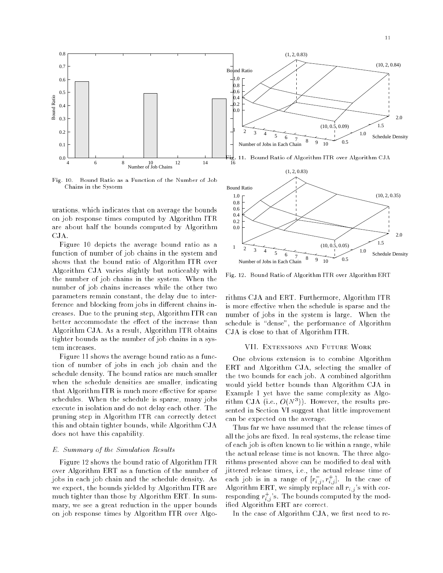

Fig. 10. Bound Ratio as a Function of the Number of Job Chains in the System

urations, which indicates that on average the bounds on job response times computed by Algorithm ITR are about half the bounds computed by Algorithm CJA.

Figure 10 depicts the average bound ratio as a function of number of job chains in the system and shows that the bound ratio of Algorithm ITR over Algorithm CJA varies slightly but noticeably with the number of job chains in the system. When the number of job chains increases while the other two parameters remain constant, the delay due to interference and blocking from jobs in different chains increases. Due to the pruning step, Algorithm ITR can better accommodate the effect of the increase than Algorithm CJA. As a result, Algorithm ITR obtains tighter bounds as the number of job chains in a system increases.

Figure 11 shows the average bound ratio as a function of number of jobs in each job chain and the schedule density. The bound ratios are much smaller when the schedule densities are smaller, indicating that Algorithm ITR is much more effective for sparse schedules. When the schedule is sparse, many jobs execute in isolation and do not delay each other. The pruning step in Algorithm ITR can correctly detect this and obtain tighter bounds, while Algorithm CJA does not have this capability.

# E. Summary of the Simulation Results

Figure 12 shows the bound ratio of Algorithm ITR over Algorithm ERT as a function of the number of jobs in each job chain and the schedule density. As we expect, the bounds yielded by Algorithm ITR are much tighter than those by Algorithm ERT. In summary, we see a great reduction in the upper bounds on job response times by Algorithm ITR over Algo-



Fig. 12. Bound Ratio of Algorithm ITR over Algorithm ERT

rithms CJA and ERT. Furthermore, Algorithm ITR is more effective when the schedule is sparse and the number of jobs in the system is large. When the schedule is "dense", the performance of Algorithm CJA is close to that of Algorithm ITR.

#### VII. Extensions and Future Work

One obvious extension is to combine Algorithm ERT and Algorithm CJA, selecting the smaller of the two bounds for each job. A combined algorithm would yield better bounds than Algorithm CJA in Example 1 yet have the same complexity as Algorithm  $\cup$ JA (i.e.,  $O(N^*)$ ). However, the results presented in Section VI suggest that little improvement can be expected on the average.

Thus far we have assumed that the release times of all the jobs are fixed. In real systems, the release time of each job is often known to lie within a range, while the actual release time is not known. The three algorithms presented above can be modified to deal with jittered release times, i.e., the actual release time of each job is in a range of  $[r_{i,j},r_{i,j}]$ . In the case of Algorithm ERT, we simply replace all  $r_{i,j}$ 's with corresponding  $r_{i,j}^{+}$ 's. The bounds computed by the modied Algorithm ERT are correct.

In the case of Algorithm CJA, we first need to re-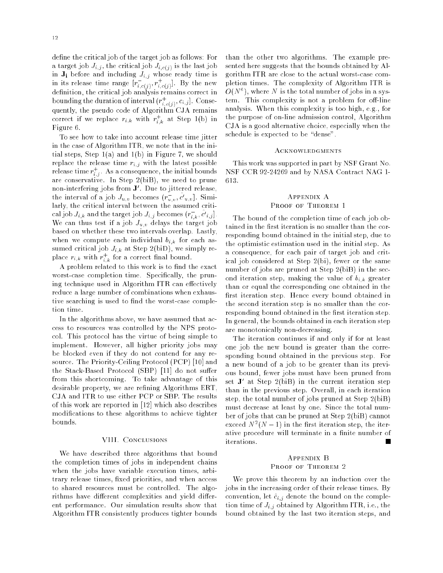define the critical job of the target job as follows: For a target job  $J_{i,j}$ , the critical job  $J_{i,c(j)}$  is the last job in  $J_i$  before and including  $J_{i,j}$  whose ready time is in its release time range  $[r_{i,\,c(j)},r_{i,\,c(j)}].$  By the new definition, the critical job analysis remains correct in bounding the duration of interval  $(r_{i-ct}^*, c_{i,j})$ . Conse- $\cdot$   $\cdot$   $\cdot$   $\cdot$ quently, the pseudo code of Algorithm CJA remains correct if we replace  $r_{i,k}$  with  $r_{i,k}^{\perp}$  at Step 1(b) in Figure 6.

To see how to take into account release time jitter in the case of Algorithm ITR, we note that in the initial steps, Step  $1(a)$  and  $1(b)$  in Figure 7, we should replace the release time  $r_{i,j}$  with the latest possible release time  $r_{i,j}^{\perp}$  . As a consequence, the initial bounds are conservative. In Step 2(biB), we need to prune non-interfering jobs from **J** . Due to jittered release, the interval of a job  $J_{u,v}$  becomes  $(r_{u,v},c_{u,v}]$ . Similarly, the critical interval between the assumed critical job  $J_{i,k}$  and the target job  $J_{i,j}$  becomes  $(r_{i,k},c^\prime{}_{i,j}]$  . We can thus test if a job  $J_{u,v}$  delays the target job based on whether these two intervals overlap. Lastly, when we compute each individual  $b_{i,k}$  for each assumed critical job  $J_{i,k}$  at Step 2(biD), we simply replace  $r_{i,k}$  with  $r_{i,k}^{\perp}$  for a correct final bound.

A problem related to this work is to find the exact worst-case completion time. Specifically, the pruning technique used in Algorithm ITR can effectively reduce a large number of combinations when exhaustive searching is used to find the worst-case completion time.

In the algorithms above, we have assumed that access to resources was controlled by the NPS protocol. This protocol has the virtue of being simple to implement. However, all higher priority jobs may be blocked even if they do not contend for any resource. The Priority-Ceiling Protocol (PCP) [10] and the Stack-Based Protocol (SBP) [11] do not suffer from this shortcoming. To take advantage of this desirable property, we are refining Algorithms ERT. CJA and ITR to use either PCP or SBP. The results of this work are reported in [12] which also describes modications to these algorithms to achieve tighter bounds.

#### VIII. Conclusions

We have described three algorithms that bound the completion times of jobs in independent chains when the jobs have variable execution times, arbitrary release times, fixed priorities, and when access to shared resources must be controlled. The algorithms have different complexities and yield different performance. Our simulation results show that Algorithm ITR consistently produces tighter bounds

than the other two algorithms. The example presented here suggests that the bounds obtained by Algorithm ITR are close to the actual worst-case completion times. The complexity of Algorithm ITR is  $O(N^*)$ , where  $N$  is the total number of jobs in a system. This complexity is not a problem for off-line analysis. When this complexity is too high, e.g., for the purpose of on-line admission control, Algorithm CJA is a good alternative choice, especially when the schedule is expected to be "dense".

# Acknowledgments

This work was supported in part by NSF Grant No. NSF CCR 92-24269 and by NASA Contract NAG 1- 613.

# Appendix A PROOF OF THEOREM 1

The bound of the completion time of each job obtained in the first iteration is no smaller than the corresponding bound obtained in the initial step, due to the optimistic estimation used in the initial step. As a consequence, for each pair of target job and critical job considered at Step 2(bi), fewer or the same number of jobs are pruned at Step 2(biB) in the second iteration step, making the value of  $b_{i,k}$  greater than or equal the corresponding one obtained in the first iteration step. Hence every bound obtained in the second iteration step is no smaller than the corresponding bound obtained in the first iteration step. In general, the bounds obtained in each iteration step are monotonically non-decreasing.

The iteration continues if and only if for at least one job the new bound is greater than the corresponding bound obtained in the previous step. For a new bound of a job to be greater than its previous bound, fewer jobs must have been pruned from set J0 at Step 2(biB) in the current iteration step than in the previous step. Overall, in each iteration step, the total number of jobs pruned at Step 2(biB) must decrease at least by one. Since the total number of jobs that can be pruned at Step 2(biB) cannot exceed  $N$  ( $N=1$ ) in the first iteration step, the iterative procedure will terminate in a finite number of iterations. п

# Appendix B PROOF OF THEOREM 2

We prove this theorem by an induction over the jobs in the increasing order of their release times. By convention, let  $\hat{c}_{i,j}$  denote the bound on the completion time of  $J_{i,j}$  obtained by Algorithm ITR, i.e., the bound obtained by the last two iteration steps, and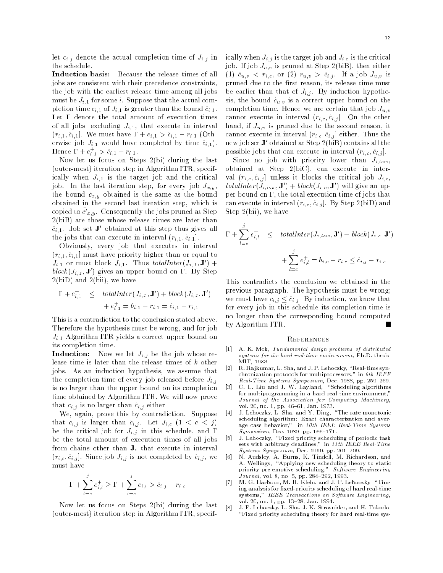let  $c_{i,j}$  denote the actual completion time of  $J_{i,j}$  in the schedule.

Induction basis: Because the release times of all jobs are consistent with their precedence constraints, the job with the earliest release time among all jobs must be  $J_{i,1}$  for some i. Suppose that the actual completion time  $c_{i,1}$  of  $J_{i,1}$  is greater than the bound  $\hat{c}_{i,1}$ . Let  $\Gamma$  denote the total amount of execution times of all jobs, excluding  $J_{i,1}$ , that execute in interval  $(r_{i,1}, \hat{c}_{i,1}]$ . We must have  $\Gamma + e_{i,1} > \hat{c}_{i,1} - r_{i,1}$  (Otherwise job  $J_{i,1}$  would have completed by time  $\hat{c}_{i,1}$ . Hence  $1 + e_{i,1} > e_{i,1} - r_{i,1}.$ 

Now let us focus on Steps 2(bi) during the last (outer-most) iteration step in Algorithm ITR, specifically when  $J_{i,1}$  is the target job and the critical job. In the last iteration step, for every job  $J_{x,y}$ , the bound  $\hat{c}_{x,y}$  obtained is the same as the bound obtained in the second last iteration step, which is copied to  $c_{x,y}$ . Consequently the jobs pruned at Step 2(biB) are those whose release times are later than  $c_{i,1}$ . Job set J obtained at this step thus gives all the jobs that can execute in interval  $(r_{i,1}, \hat{c}_{i,1}).$ 

Obviously, every job that executes in interval  $(r_{i,1}, \hat{c}_{i,1}]$  must have priority higher than or equal to  $J_{i,1}$  or must block  $J_{i,1}$ . Thus totalInter  $(J_{i,1},J_{0})$  +  $block(i_{i,1}, \mathbf{J})$  gives an upper bound on  $\mathbf{I}$ . By Step  $2(biD)$  and  $2(bii)$ , we have

 + <sup>e</sup><sup>+</sup> i;1 totalInter (Ji ;1 ; J0 ) + block (Ji ;1 ; J0 ) + <sup>e</sup><sup>+</sup> i;1 <sup>=</sup> bi;1 ri;1 = ^ci;1 ri;1

This is a contradiction to the conclusion stated above. Therefore the hypothesis must be wrong, and for job  $J_{i,1}$  Algorithm ITR yields a correct upper bound on its completion time.

**Induction:** Now we let  $J_{i,j}$  be the job whose release time is later than the release times of <sup>k</sup> other jobs. As an induction hypothesis, we assume that the completion time of every job released before  $J_{i,j}$ is no larger than the upper bound on its completion time obtained by Algorithm ITR. We will now prove that  $c_{i,j}$  is no larger than  $\hat{c}_{i,j}$  either.

We, again, prove this by contradiction. Suppose that  $c_{i,j}$  is larger than  $\hat{c}_{i,j}$ . Let  $J_{i,c}$   $(1 \leq c \leq j)$ be the critical job for  $J_{i,j}$  in this schedule, and  $\Gamma$ be the total amount of execution times of all jobs from chains other than  $J_i$  that execute in interval  $(r_{i,c}, \hat{c}_{i,j} ]$ . Since job  $J_{i,j}$  is not completed by  $\hat{c}_{i,j}$ , we must have

$$
\Gamma + \sum_{l=c}^{j} e_{i,l}^{+} \ge \Gamma + \sum_{l=c}^{j} e_{i,l} > \hat{c}_{i,j} - r_{i,c}
$$

Now let us focus on Steps 2(bi) during the last (outer-most) iteration step in Algorithm ITR, specifically when  $J_{i,j}$  is the target job and  $J_{i,c}$  is the critical job. If job  $J_{u,v}$  is pruned at Step 2(biB), then either (1)  $\hat{c}_{u,v} < r_{i,c}$ , or (2)  $r_{u,v} > \hat{c}_{i,j}$ . If a job  $J_{u,v}$  is pruned due to the first reason, its release time must be earlier than that of  $J_{i,j}$ . By induction hypothesis, the bound  $\hat{c}_{u,v}$  is a correct upper bound on the completion time. Hence we are certain that job  $J_{u,v}$ cannot execute in interval  $(r_{i,c}, \hat{c}_{i,j}]$ . On the other hand, if  $J_{u,v}$  is pruned due to the second reason, it cannot execute in interval  $(r_{i,c}, \hat{c}_{i,j}]$  either. Thus the new job set J-obtained at Step 2(biB) contains all the possible jobs that can execute in interval  $(r_{i,c}, \hat{c}_{i,j}]$ .

Since no job with priority lower than  $J_{i,low}$ , obtained at Step 2(biC), can execute in interval  $(r_{i,c}, \hat{c}_{i,j}]$  unless it blocks the critical job  $J_{i,c}$ , *totalInter*  $J_{i,low}$ ,  $J_{i}$  +  $\omega$ *ock*  $J_{i,c}$ ,  $J_{i}$  will give an upper bound on  $\Gamma$ , the total execution time of jobs that can execute in interval  $(r_{i,c}, \hat{c}_{i,j}]$ . By Step 2(biD) and Step 2(bii), we have

$$
\Gamma + \sum_{l=c}^{J} e_{i,l}^{+} \leq \t\t totalInter(J_{i,low}, \mathbf{J'}) + \text{block}(J_{i,c}, \mathbf{J'})
$$

$$
+ \sum_{l=c}^{j} e_{i,l}^{+} = b_{i,c} - r_{i,c} \leq \hat{c}_{i,j} - r_{i,c}
$$

This contradicts the conclusion we obtained in the previous paragraph. The hypothesis must be wrong; we must have  $c_{i,j} \leq \hat{c}_{i,j}$ . By induction, we know that for every job in this schedule its completion time is no longer than the corresponding bound computed by Algorithm ITR.

#### **REFERENCES**

- [1] A. K. Mok, Fundamental design problems of distributed systems for the hard real-time environment, Ph.D. thesis, MIT, 1983.
- [2] R. Rajkumar, L. Sha, and J. P. Lehoczky, "Real-time synchronization protocols for multiprocessors," in 9th IEEE Real-Time Systems Symposium, Dec. 1988, pp. 259-269.
- [3] C. L. Liu and J. W. Layland, "Scheduling algorithms for multiprogramming in a hard-real-time environment," Journal of the Association for Computing Machinery, vol. 20, no. 1, pp. 46-61, Jan. 1973.
- [4] J. Lehoczky, L. Sha, and Y. Ding, \The rate monotonic scheduling algorithm: Exact characterization and average case behavior," in 10th IEEE Real-Time Systems  $Symposingisium$ , Dec. 1989, pp. 166-171.
- [5] J. Lehoczky, "Fixed priority scheduling of periodic task sets with arbitrary deadlines," in 11th IEEE Real-Time  $Systems~Symposium,~Dec.~1990,~pp.~201-209.$
- [6] N. Audsley, A. Burns, K. Tindell, M. Richardson, and A. Wellings, "Applying new scheduling theory to static priority pre-emptive scheduling," Software Engineering  $Journal, vol. 8, no. 5, pp. 284-292, 1993.$
- [7] M. G. Harbour, M. H. Klein, and J. P. Lehoczky, \Timing analysis for fixed-priority scheduling of hard real-time systems," IEEE Transactions on Software Engineering, vol. 20, no. 1, pp. 13-28, Jan. 1994.
- [8] J. P. Lehoczky, L. Sha, J. K. Strosnider, and H. Tokuda, "Fixed priority scheduling theory for hard real-time sys-